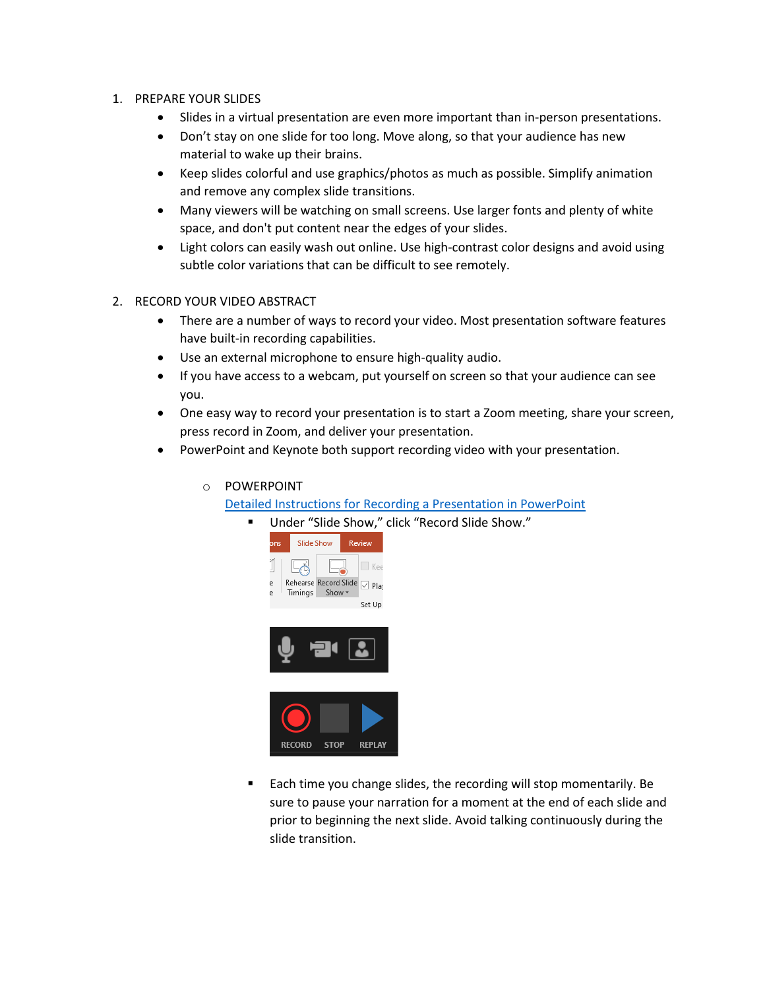## 1. PREPARE YOUR SLIDES

- Slides in a virtual presentation are even more important than in-person presentations.
- Don't stay on one slide for too long. Move along, so that your audience has new material to wake up their brains.
- Keep slides colorful and use graphics/photos as much as possible. Simplify animation and remove any complex slide transitions.
- Many viewers will be watching on small screens. Use larger fonts and plenty of white space, and don't put content near the edges of your slides.
- Light colors can easily wash out online. Use high-contrast color designs and avoid using subtle color variations that can be difficult to see remotely.
- 2. RECORD YOUR VIDEO ABSTRACT
	- There are a number of ways to record your video. Most presentation software features have built-in recording capabilities.
	- Use an external microphone to ensure high-quality audio.
	- If you have access to a webcam, put yourself on screen so that your audience can see you.
	- One easy way to record your presentation is to start a Zoom meeting, share your screen, press record in Zoom, and deliver your presentation.
	- PowerPoint and Keynote both support recording video with your presentation.
		- o POWERPOINT

Detailed Instructions for Recording a Presentation in PowerPoint

Under "Slide Show," click "Record Slide Show."







**Each time you change slides, the recording will stop momentarily. Be** sure to pause your narration for a moment at the end of each slide and prior to beginning the next slide. Avoid talking continuously during the slide transition.